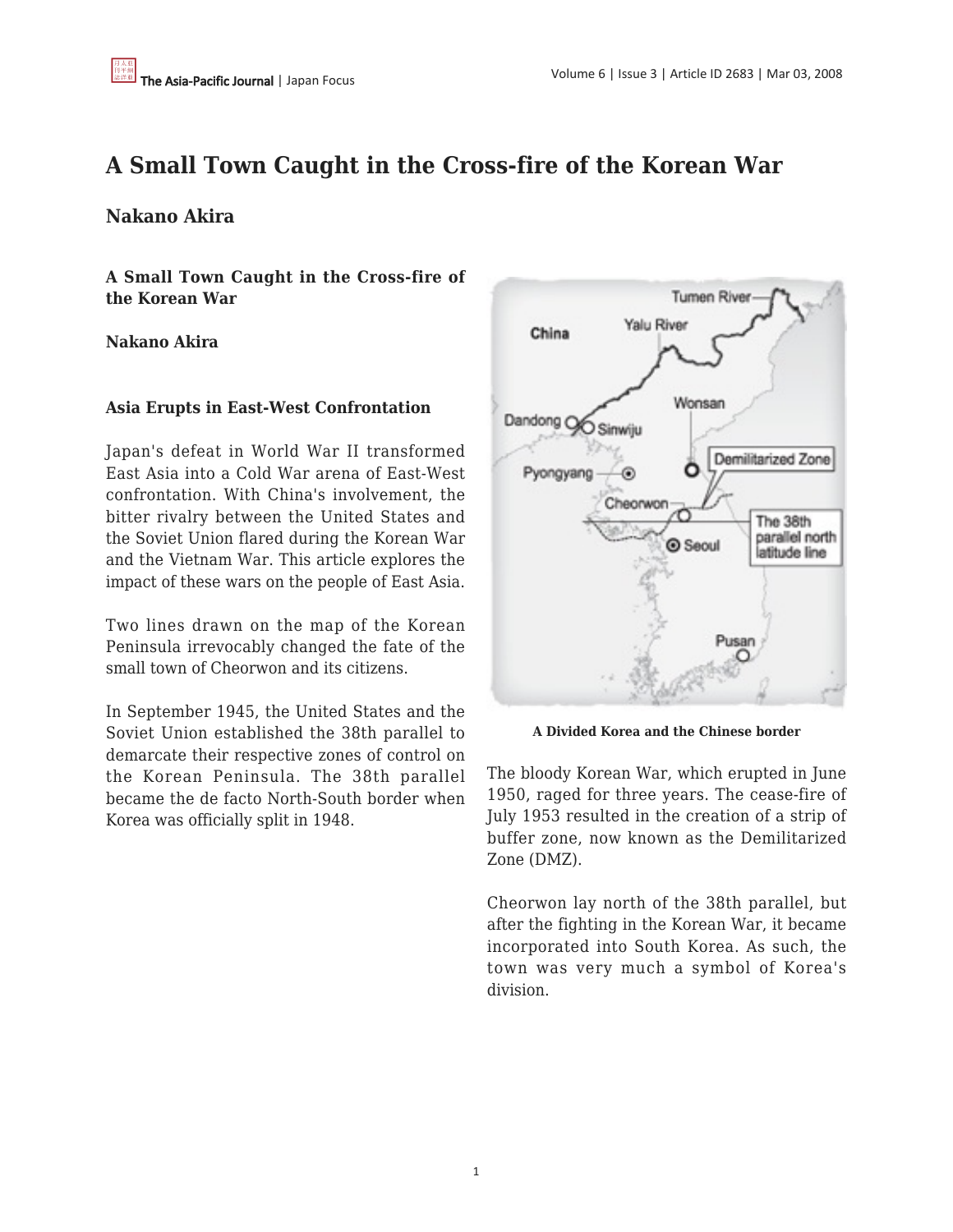# **A Small Town Caught in the Cross-fire of the Korean War**

# **Nakano Akira**

**A Small Town Caught in the Cross-fire of the Korean War**

## **Nakano Akira**

### **Asia Erupts in East-West Confrontation**

Japan's defeat in World War II transformed East Asia into a Cold War arena of East-West confrontation. With China's involvement, the bitter rivalry between the United States and the Soviet Union flared during the Korean War and the Vietnam War. This article explores the impact of these wars on the people of East Asia.

Two lines drawn on the map of the Korean Peninsula irrevocably changed the fate of the small town of Cheorwon and its citizens.

In September 1945, the United States and the Soviet Union established the 38th parallel to demarcate their respective zones of control on the Korean Peninsula. The 38th parallel became the de facto North-South border when Korea was officially split in 1948.



**A Divided Korea and the Chinese border**

The bloody Korean War, which erupted in June 1950, raged for three years. The cease-fire of July 1953 resulted in the creation of a strip of buffer zone, now known as the Demilitarized Zone (DMZ).

Cheorwon lay north of the 38th parallel, but after the fighting in the Korean War, it became incorporated into South Korea. As such, the town was very much a symbol of Korea's division.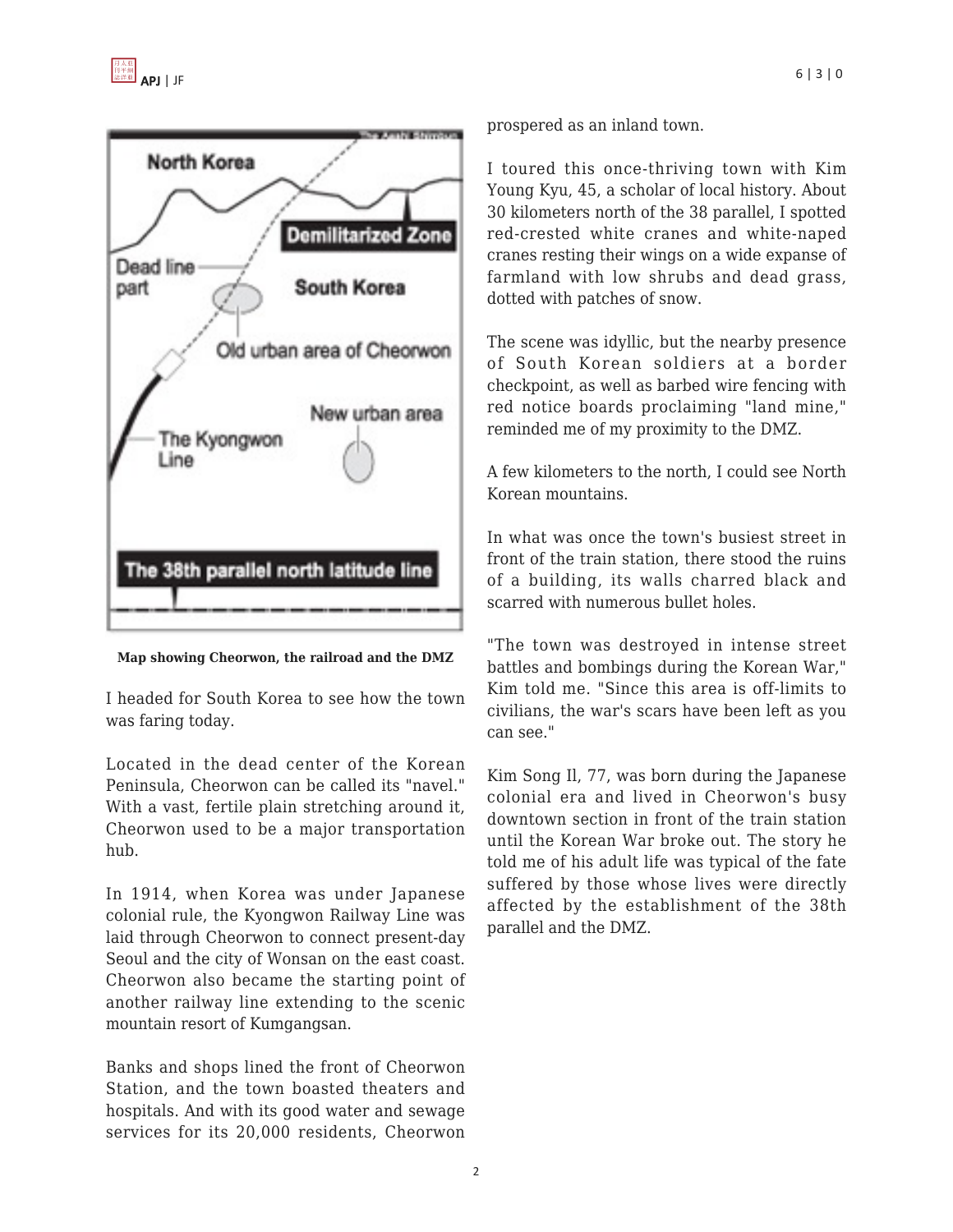

**Map showing Cheorwon, the railroad and the DMZ**

I headed for South Korea to see how the town was faring today.

Located in the dead center of the Korean Peninsula, Cheorwon can be called its "navel." With a vast, fertile plain stretching around it, Cheorwon used to be a major transportation hub.

In 1914, when Korea was under Japanese colonial rule, the Kyongwon Railway Line was laid through Cheorwon to connect present-day Seoul and the city of Wonsan on the east coast. Cheorwon also became the starting point of another railway line extending to the scenic mountain resort of Kumgangsan.

Banks and shops lined the front of Cheorwon Station, and the town boasted theaters and hospitals. And with its good water and sewage services for its 20,000 residents, Cheorwon prospered as an inland town.

I toured this once-thriving town with Kim Young Kyu, 45, a scholar of local history. About 30 kilometers north of the 38 parallel, I spotted red-crested white cranes and white-naped cranes resting their wings on a wide expanse of farmland with low shrubs and dead grass, dotted with patches of snow.

The scene was idyllic, but the nearby presence of South Korean soldiers at a border checkpoint, as well as barbed wire fencing with red notice boards proclaiming "land mine," reminded me of my proximity to the DMZ.

A few kilometers to the north, I could see North Korean mountains.

In what was once the town's busiest street in front of the train station, there stood the ruins of a building, its walls charred black and scarred with numerous bullet holes.

"The town was destroyed in intense street battles and bombings during the Korean War," Kim told me. "Since this area is off-limits to civilians, the war's scars have been left as you can see."

Kim Song Il, 77, was born during the Japanese colonial era and lived in Cheorwon's busy downtown section in front of the train station until the Korean War broke out. The story he told me of his adult life was typical of the fate suffered by those whose lives were directly affected by the establishment of the 38th parallel and the DMZ.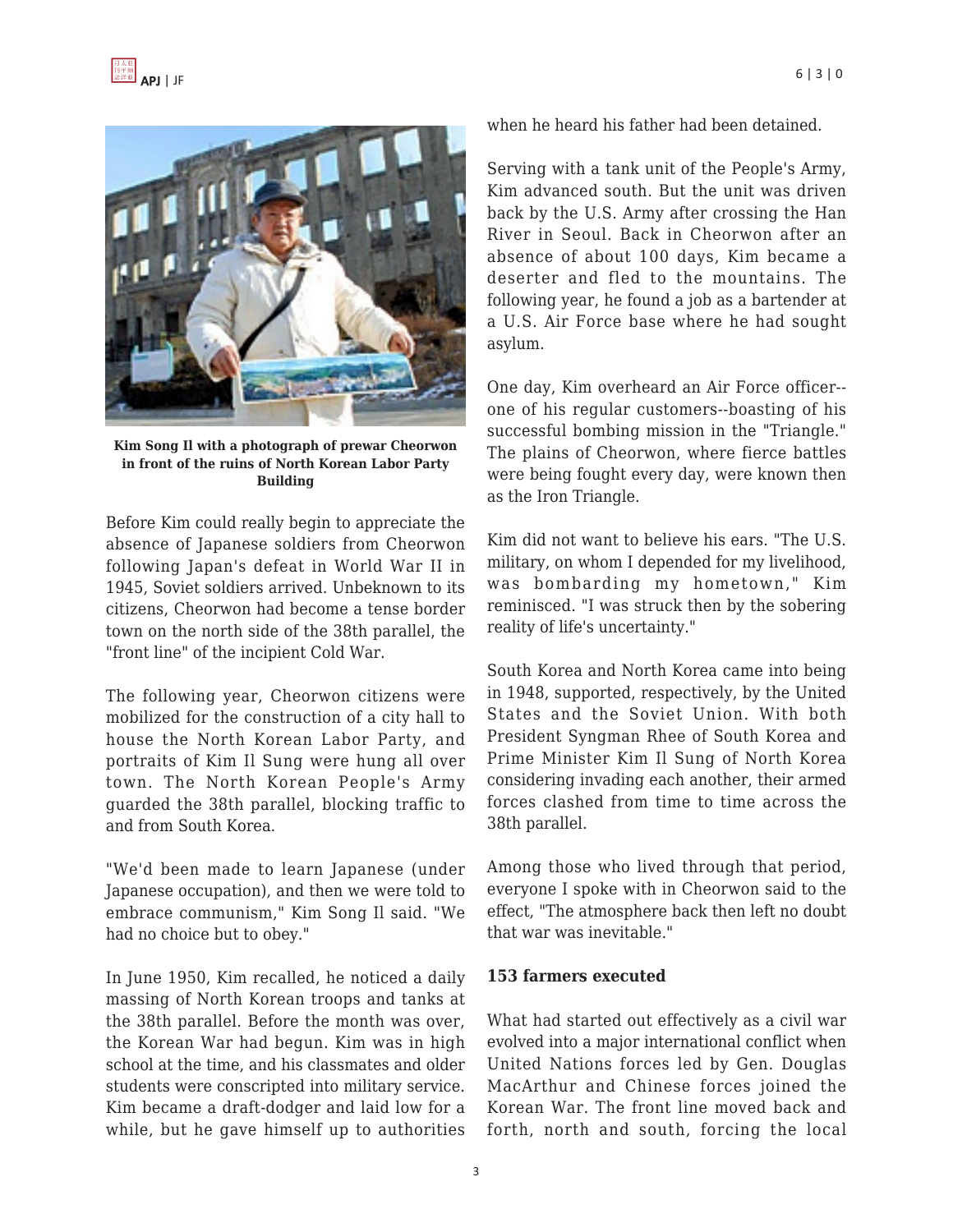

**Kim Song Il with a photograph of prewar Cheorwon in front of the ruins of North Korean Labor Party Building**

Before Kim could really begin to appreciate the absence of Japanese soldiers from Cheorwon following Japan's defeat in World War II in 1945, Soviet soldiers arrived. Unbeknown to its citizens, Cheorwon had become a tense border town on the north side of the 38th parallel, the "front line" of the incipient Cold War.

The following year, Cheorwon citizens were mobilized for the construction of a city hall to house the North Korean Labor Party, and portraits of Kim Il Sung were hung all over town. The North Korean People's Army guarded the 38th parallel, blocking traffic to and from South Korea.

"We'd been made to learn Japanese (under Japanese occupation), and then we were told to embrace communism," Kim Song Il said. "We had no choice but to obey."

In June 1950, Kim recalled, he noticed a daily massing of North Korean troops and tanks at the 38th parallel. Before the month was over, the Korean War had begun. Kim was in high school at the time, and his classmates and older students were conscripted into military service. Kim became a draft-dodger and laid low for a while, but he gave himself up to authorities when he heard his father had been detained.

Serving with a tank unit of the People's Army, Kim advanced south. But the unit was driven back by the U.S. Army after crossing the Han River in Seoul. Back in Cheorwon after an absence of about 100 days, Kim became a deserter and fled to the mountains. The following year, he found a job as a bartender at a U.S. Air Force base where he had sought asylum.

One day, Kim overheard an Air Force officer- one of his regular customers--boasting of his successful bombing mission in the "Triangle." The plains of Cheorwon, where fierce battles were being fought every day, were known then as the Iron Triangle.

Kim did not want to believe his ears. "The U.S. military, on whom I depended for my livelihood, was bombarding my hometown," Kim reminisced. "I was struck then by the sobering reality of life's uncertainty."

South Korea and North Korea came into being in 1948, supported, respectively, by the United States and the Soviet Union. With both President Syngman Rhee of South Korea and Prime Minister Kim Il Sung of North Korea considering invading each another, their armed forces clashed from time to time across the 38th parallel.

Among those who lived through that period, everyone I spoke with in Cheorwon said to the effect, "The atmosphere back then left no doubt that war was inevitable."

#### **153 farmers executed**

What had started out effectively as a civil war evolved into a major international conflict when United Nations forces led by Gen. Douglas MacArthur and Chinese forces joined the Korean War. The front line moved back and forth, north and south, forcing the local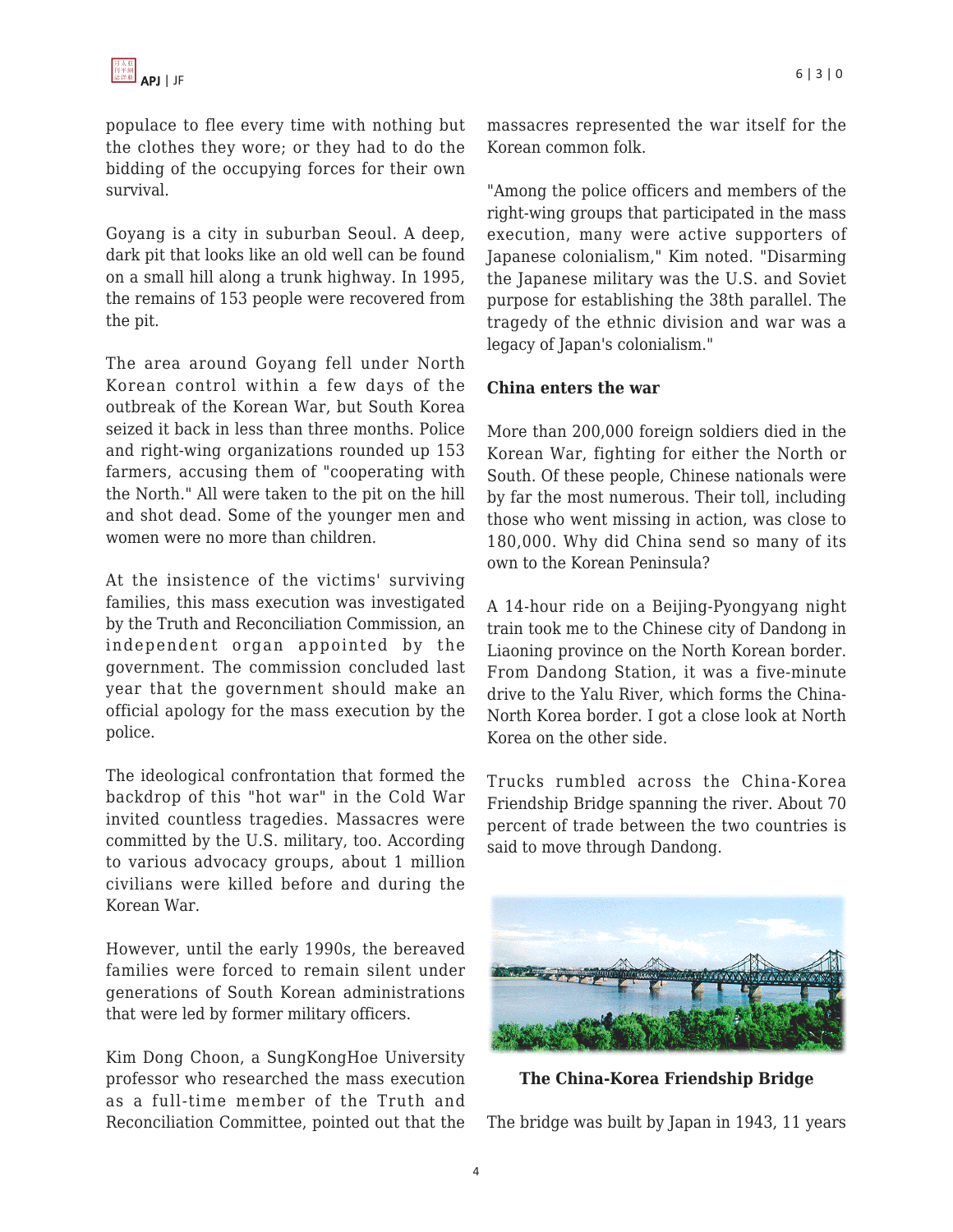populace to flee every time with nothing but the clothes they wore; or they had to do the bidding of the occupying forces for their own survival.

Goyang is a city in suburban Seoul. A deep, dark pit that looks like an old well can be found on a small hill along a trunk highway. In 1995, the remains of 153 people were recovered from the pit.

The area around Goyang fell under North Korean control within a few days of the outbreak of the Korean War, but South Korea seized it back in less than three months. Police and right-wing organizations rounded up 153 farmers, accusing them of "cooperating with the North." All were taken to the pit on the hill and shot dead. Some of the younger men and women were no more than children.

At the insistence of the victims' surviving families, this mass execution was investigated by the Truth and Reconciliation Commission, an independent organ appointed by the government. The commission concluded last year that the government should make an official apology for the mass execution by the police.

The ideological confrontation that formed the backdrop of this "hot war" in the Cold War invited countless tragedies. Massacres were committed by the U.S. military, too. According to various advocacy groups, about 1 million civilians were killed before and during the Korean War.

However, until the early 1990s, the bereaved families were forced to remain silent under generations of South Korean administrations that were led by former military officers.

Kim Dong Choon, a SungKongHoe University professor who researched the mass execution as a full-time member of the Truth and Reconciliation Committee, pointed out that the massacres represented the war itself for the Korean common folk.

"Among the police officers and members of the right-wing groups that participated in the mass execution, many were active supporters of Japanese colonialism," Kim noted. "Disarming the Japanese military was the U.S. and Soviet purpose for establishing the 38th parallel. The tragedy of the ethnic division and war was a legacy of Japan's colonialism."

#### **China enters the war**

More than 200,000 foreign soldiers died in the Korean War, fighting for either the North or South. Of these people, Chinese nationals were by far the most numerous. Their toll, including those who went missing in action, was close to 180,000. Why did China send so many of its own to the Korean Peninsula?

A 14-hour ride on a Beijing-Pyongyang night train took me to the Chinese city of Dandong in Liaoning province on the North Korean border. From Dandong Station, it was a five-minute drive to the Yalu River, which forms the China-North Korea border. I got a close look at North Korea on the other side.

Trucks rumbled across the China-Korea Friendship Bridge spanning the river. About 70 percent of trade between the two countries is said to move through Dandong.



**The China-Korea Friendship Bridge**

The bridge was built by Japan in 1943, 11 years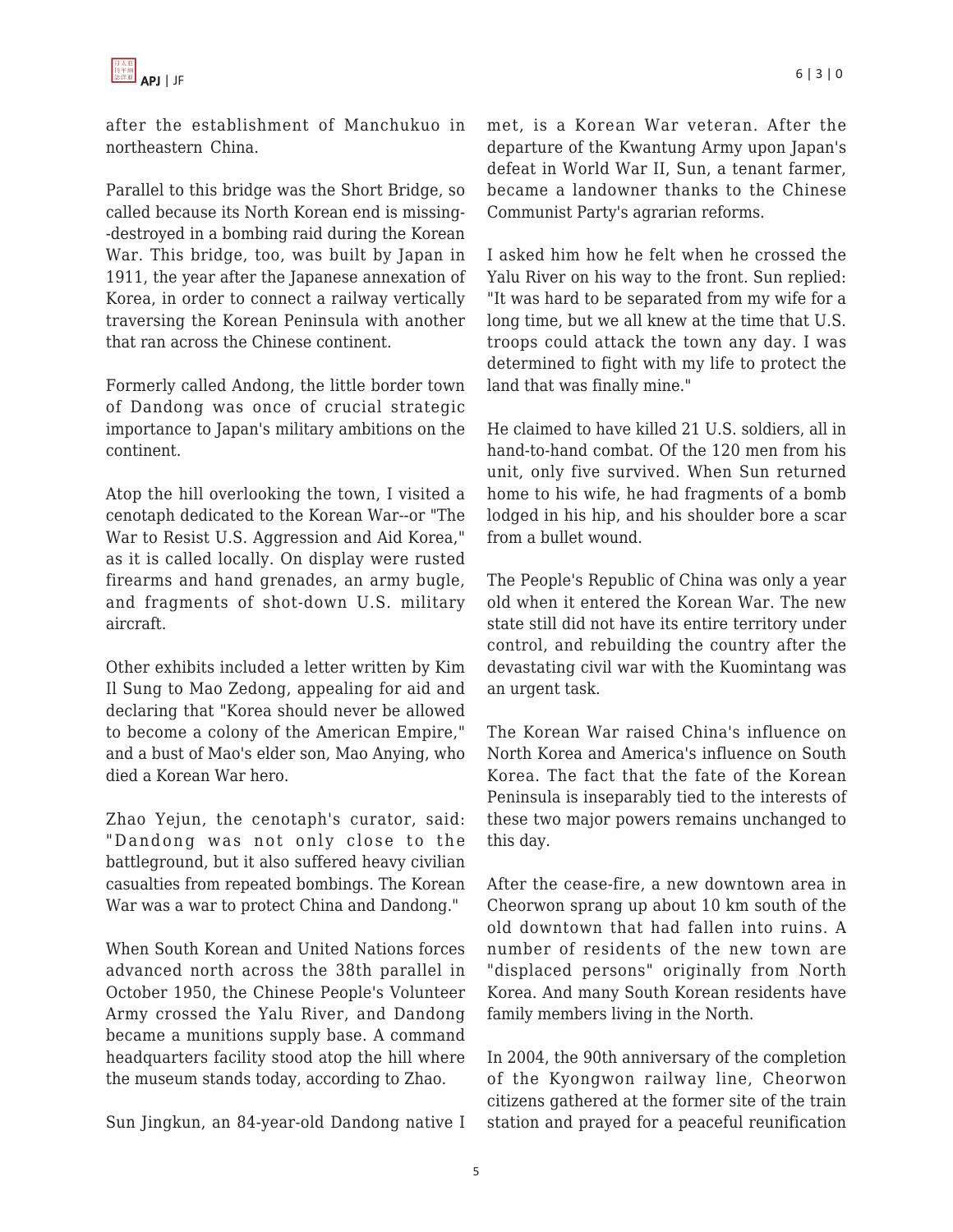

after the establishment of Manchukuo in northeastern China.

Parallel to this bridge was the Short Bridge, so called because its North Korean end is missing- -destroyed in a bombing raid during the Korean War. This bridge, too, was built by Japan in 1911, the year after the Japanese annexation of Korea, in order to connect a railway vertically traversing the Korean Peninsula with another that ran across the Chinese continent.

Formerly called Andong, the little border town of Dandong was once of crucial strategic importance to Japan's military ambitions on the continent.

Atop the hill overlooking the town, I visited a cenotaph dedicated to the Korean War--or "The War to Resist U.S. Aggression and Aid Korea," as it is called locally. On display were rusted firearms and hand grenades, an army bugle, and fragments of shot-down U.S. military aircraft.

Other exhibits included a letter written by Kim Il Sung to Mao Zedong, appealing for aid and declaring that "Korea should never be allowed to become a colony of the American Empire," and a bust of Mao's elder son, Mao Anying, who died a Korean War hero.

Zhao Yejun, the cenotaph's curator, said: "Dandong was not only close to the battleground, but it also suffered heavy civilian casualties from repeated bombings. The Korean War was a war to protect China and Dandong."

When South Korean and United Nations forces advanced north across the 38th parallel in October 1950, the Chinese People's Volunteer Army crossed the Yalu River, and Dandong became a munitions supply base. A command headquarters facility stood atop the hill where the museum stands today, according to Zhao.

Sun Jingkun, an 84-year-old Dandong native I

met, is a Korean War veteran. After the departure of the Kwantung Army upon Japan's defeat in World War II, Sun, a tenant farmer, became a landowner thanks to the Chinese Communist Party's agrarian reforms.

I asked him how he felt when he crossed the Yalu River on his way to the front. Sun replied: "It was hard to be separated from my wife for a long time, but we all knew at the time that U.S. troops could attack the town any day. I was determined to fight with my life to protect the land that was finally mine."

He claimed to have killed 21 U.S. soldiers, all in hand-to-hand combat. Of the 120 men from his unit, only five survived. When Sun returned home to his wife, he had fragments of a bomb lodged in his hip, and his shoulder bore a scar from a bullet wound.

The People's Republic of China was only a year old when it entered the Korean War. The new state still did not have its entire territory under control, and rebuilding the country after the devastating civil war with the Kuomintang was an urgent task.

The Korean War raised China's influence on North Korea and America's influence on South Korea. The fact that the fate of the Korean Peninsula is inseparably tied to the interests of these two major powers remains unchanged to this day.

After the cease-fire, a new downtown area in Cheorwon sprang up about 10 km south of the old downtown that had fallen into ruins. A number of residents of the new town are "displaced persons" originally from North Korea. And many South Korean residents have family members living in the North.

In 2004, the 90th anniversary of the completion of the Kyongwon railway line, Cheorwon citizens gathered at the former site of the train station and prayed for a peaceful reunification